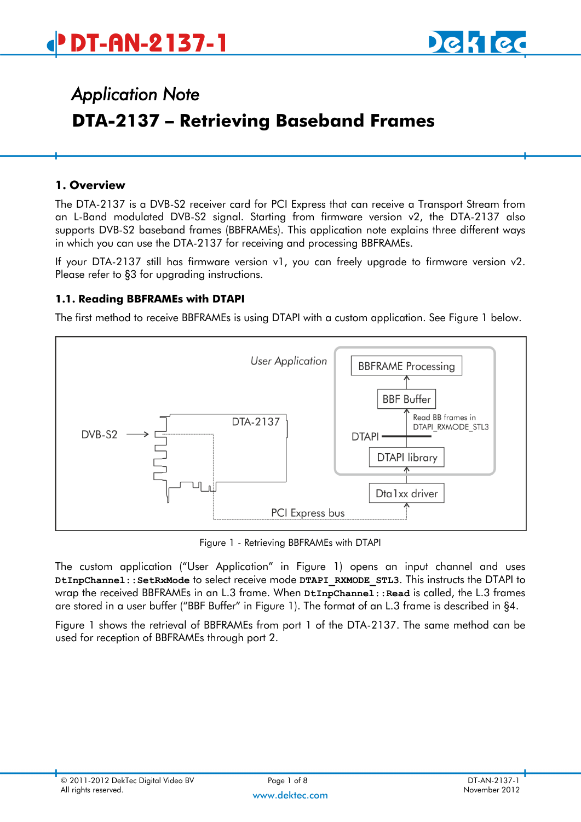

# *Application Note*  **DTA-2137 – Retrieving Baseband Frames**

#### **1. Overview**

The DTA-2137 is a DVB-S2 receiver card for PCI Express that can receive a Transport Stream from an L-Band modulated DVB-S2 signal. Starting from firmware version v2, the DTA-2137 also supports DVB-S2 baseband frames (BBFRAMEs). This application note explains three different ways in which you can use the DTA-2137 for receiving and processing BBFRAMEs.

If your DTA-2137 still has firmware version v1, you can freely upgrade to firmware version v2. Please refer to [§3](#page-3-0) for upgrading instructions.

#### **1.1. Reading BBFRAMEs with DTAPI**

The first method to receive BBFRAMEs is using DTAPI with a custom application. See [Figure 1](#page-0-0) below.



Figure 1 - Retrieving BBFRAMEs with DTAPI

<span id="page-0-0"></span>The custom application ("User Application" in [Figure 1\)](#page-0-0) opens an input channel and uses **DtInpChannel::SetRxMode** to select receive mode **DTAPI\_RXMODE\_STL3**. This instructs the DTAPI to wrap the received BBFRAMEs in an L.3 frame. When  $\texttt{ptInput}$ :  $\texttt{read}$  is called, the L.3 frames are stored in a user buffer ("BBF Buffer" in [Figure 1\)](#page-0-0). The format of an L.3 frame is described in [§4.](#page-4-0)

[Figure 1](#page-0-0) shows the retrieval of BBFRAMEs from port 1 of the DTA-2137. The same method can be used for reception of BBFRAMEs through port 2.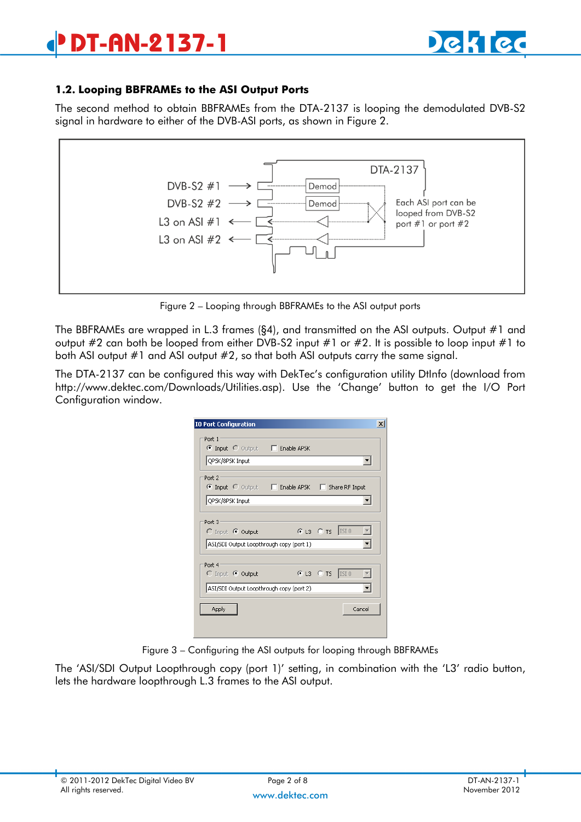# **DT-AN-2137-1**



#### **1.2. Looping BBFRAMEs to the ASI Output Ports**

The second method to obtain BBFRAMEs from the DTA-2137 is looping the demodulated DVB-S2 signal in hardware to either of the DVB-ASI ports, as shown in Figure 2.



Figure 2 – Looping through BBFRAMEs to the ASI output ports

The BBFRAMEs are wrapped in L.3 frames ([§4\)](#page-4-0), and transmitted on the ASI outputs. Output #1 and output #2 can both be looped from either DVB-S2 input #1 or #2. It is possible to loop input #1 to both ASI output #1 and ASI output #2, so that both ASI outputs carry the same signal.

The DTA-2137 can be configured this way with DekTec's configuration utility DtInfo (download from <http://www.dektec.com/Downloads/Utilities.asp>). Use the 'Change' button to get the I/O Port Configuration window.

| <b>IO Port Configuration</b>                              | $\boldsymbol{\mathsf{x}}$ |
|-----------------------------------------------------------|---------------------------|
| Port 1<br>© Input C Output □ Enable APSK                  |                           |
| QPSK/8PSK Input                                           |                           |
| Port 2<br>C Input C Output □ Enable APSK □ Share RF Input |                           |
| QPSK/8PSK Input                                           |                           |
| Port 3                                                    |                           |
| $C$ Input $C$ Output                                      | $C$ L3 $C$ T5  ISI0       |
| ASI/SDI Output Loopthrough copy (port 1)                  |                           |
| Port 4<br>C Input C Output                                | $C$ L3 $C$ T5  ISI0       |
| ASI/SDI Output Loopthrough copy (port 2)                  |                           |
| Apply                                                     | Cancel                    |
|                                                           |                           |
|                                                           |                           |

Figure 3 – Configuring the ASI outputs for looping through BBFRAMEs

The 'ASI/SDI Output Loopthrough copy (port 1)' setting, in combination with the 'L3' radio button, lets the hardware loopthrough L.3 frames to the ASI output.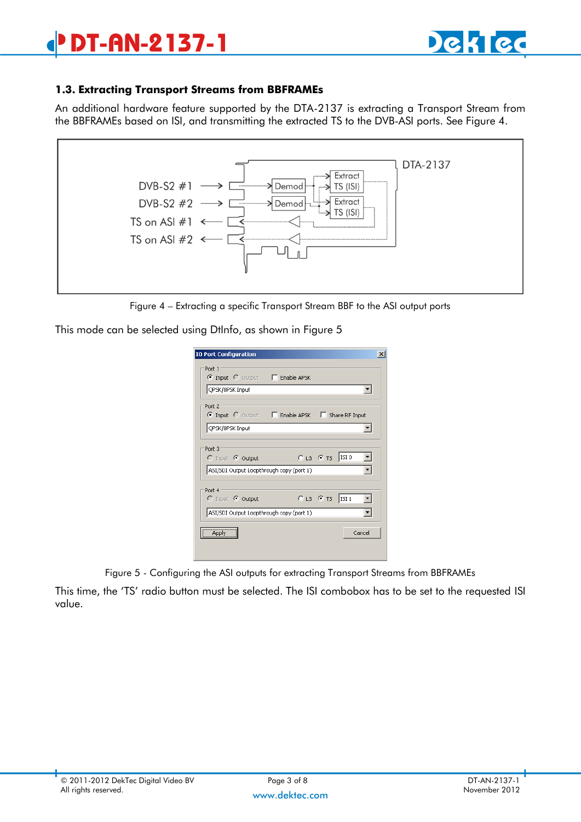# **DT-AN-2137-1**



#### **1.3. Extracting Transport Streams from BBFRAMEs**

An additional hardware feature supported by the DTA-2137 is extracting a Transport Stream from the BBFRAMEs based on ISI, and transmitting the extracted TS to the DVB-ASI ports. See [Figure 4.](#page-2-0)



Figure 4 – Extracting a specific Transport Stream BBF to the ASI output ports

<span id="page-2-0"></span>This mode can be selected using DtInfo, as shown in [Figure 5](#page-2-1)

| <b>IO Port Configuration</b>                    | $\vert x \vert$     |
|-------------------------------------------------|---------------------|
| Port 1                                          |                     |
| © Input C Output □ Enable APSK                  |                     |
| QPSK/8PSK Input                                 |                     |
| Port 2                                          |                     |
| © Input C Output □ Enable APSK □ Share RF Input |                     |
| QPSK/8PSK Input                                 |                     |
|                                                 |                     |
| Port 3                                          |                     |
| $\bigcirc$ Input $\bigcirc$ Output              | $O$ L3 $O$ TS  ISI0 |
| ASI/SDI Output Loopthrough copy (port 1)        |                     |
|                                                 |                     |
| Port 4<br>C Input C Output                      | $O$ L3 $O$ TS ISI1  |
|                                                 |                     |
| ASI/SDI Output Loopthrough copy (port 1)        |                     |
| Apply                                           | Cancel              |
|                                                 |                     |
|                                                 |                     |

Figure 5 - Configuring the ASI outputs for extracting Transport Streams from BBFRAMEs

<span id="page-2-1"></span>This time, the 'TS' radio button must be selected. The ISI combobox has to be set to the requested ISI value.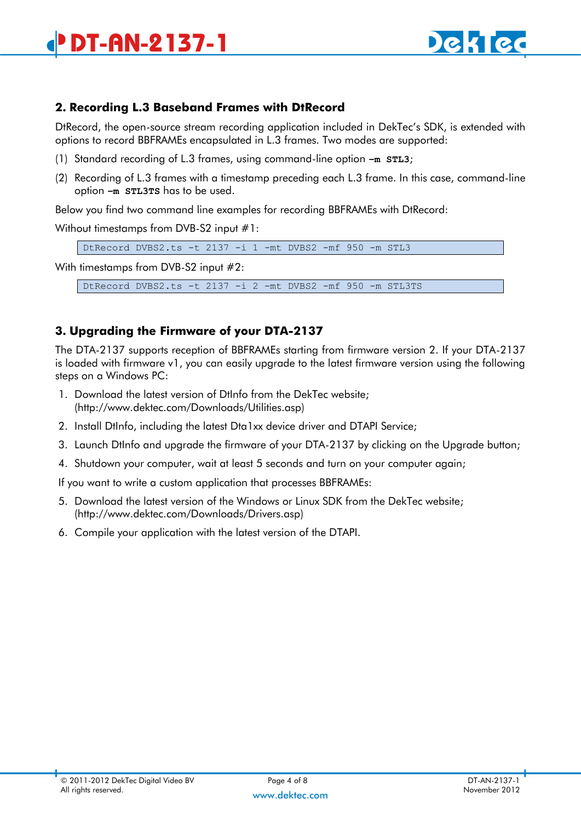

### **2. Recording L.3 Baseband Frames with DtRecord**

DtRecord, the open-source stream recording application included in DekTec's SDK, is extended with options to record BBFRAMEs encapsulated in L.3 frames. Two modes are supported:

- (1) Standard recording of L.3 frames, using command-line option **–m STL3**;
- (2) Recording of L.3 frames with a timestamp preceding each L.3 frame. In this case, command-line option **–m STL3TS** has to be used.

Below you find two command line examples for recording BBFRAMEs with DtRecord:

Without timestamps from DVB-S2 input #1:

DtRecord DVBS2.ts -t 2137 -i 1 -mt DVBS2 -mf 950 -m STL3

With timestamps from DVB-S2 input #2:

DtRecord DVBS2.ts -t 2137 -i 2 -mt DVBS2 -mf 950 -m STL3TS

### <span id="page-3-0"></span>**3. Upgrading the Firmware of your DTA-2137**

The DTA-2137 supports reception of BBFRAMEs starting from firmware version 2. If your DTA-2137 is loaded with firmware v1, you can easily upgrade to the latest firmware version using the following steps on a Windows PC:

- 1. Download the latest version of DtInfo from the DekTec website; [\(http://www.dektec.com/Downloads/Utilities.asp\)](http://www.dektec.com/Downloads/Utilities.asp)
- 2. Install DtInfo, including the latest Dta1xx device driver and DTAPI Service;
- 3. Launch DtInfo and upgrade the firmware of your DTA-2137 by clicking on the Upgrade button;
- 4. Shutdown your computer, wait at least 5 seconds and turn on your computer again;

If you want to write a custom application that processes BBFRAMEs:

- 5. Download the latest version of the Windows or Linux SDK from the DekTec website; [\(http://www.dektec.com/Downloads/Drivers.asp\)](http://www.dektec.com/Downloads/Drivers.asp)
- 6. Compile your application with the latest version of the DTAPI.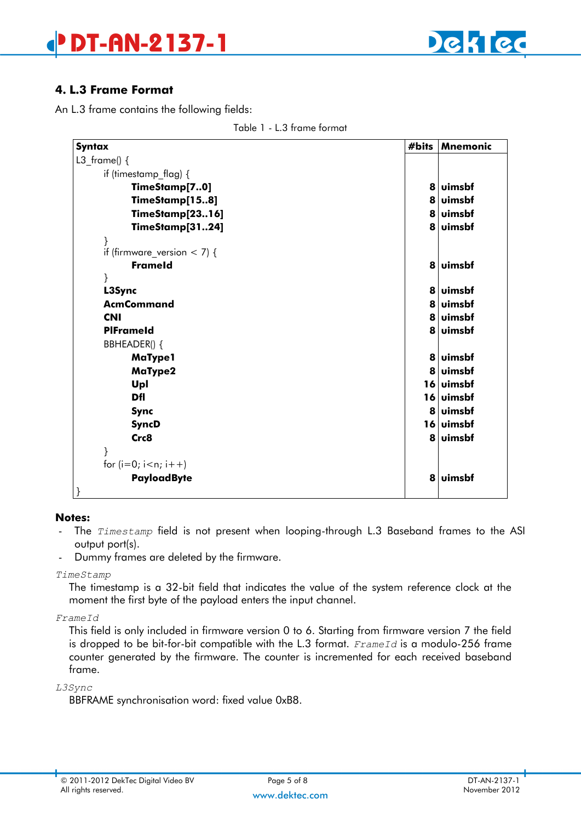



### <span id="page-4-0"></span>**4. L.3 Frame Format**

An L.3 frame contains the following fields:

| #bits | <b>Mnemonic</b> |
|-------|-----------------|
|       |                 |
|       |                 |
| 8     | luimsbf         |
|       | 8 Juimsbf       |
|       | 8 uimsbf        |
|       | 8 uimsbf        |
|       |                 |
|       |                 |
|       | 8 uimsbf        |
|       |                 |
|       | <b>luimsbf</b>  |
|       | 8 uimsbf        |
|       | 8 uimsbf        |
|       | 8 uimsbf        |
|       |                 |
|       | <b>luimsbf</b>  |
|       | 8 Juimsbf       |
|       | 16 uimsbf       |
|       | 16 uimsbf       |
|       | <b>uimsbf</b>   |
|       | 16 uimsbf       |
|       | 8 uimsbf        |
|       |                 |
|       |                 |
| 8     | uimsbf          |
|       | 8<br>8<br>8     |

Table 1 - L.3 frame format

#### **Notes:**

}

- The *Timestamp* field is not present when looping-through L.3 Baseband frames to the ASI output port(s).
- Dummy frames are deleted by the firmware.

#### *TimeStamp*

The timestamp is a 32-bit field that indicates the value of the system reference clock at the moment the first byte of the payload enters the input channel.

#### *FrameId*

This field is only included in firmware version 0 to 6. Starting from firmware version 7 the field is dropped to be bit-for-bit compatible with the L.3 format. *FrameId* is a modulo-256 frame counter generated by the firmware. The counter is incremented for each received baseband frame.

#### *L3Sync*

BBFRAME synchronisation word: fixed value 0xB8.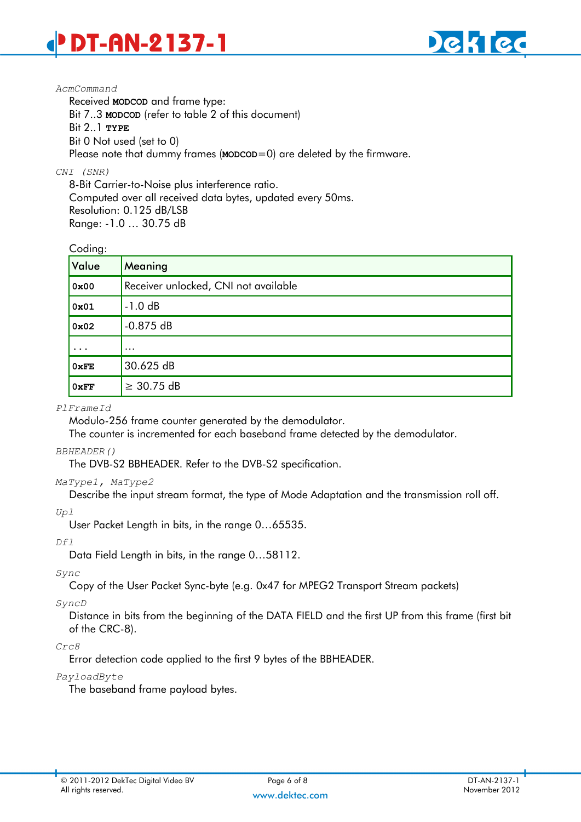

#### *AcmCommand*

Received **MODCOD** and frame type: Bit 7..3 **MODCOD** (refer to table 2 of this document) Bit 2..1 **TYPE** Bit 0 Not used (set to 0) Please note that dummy frames (**MODCOD**=0) are deleted by the firmware.

#### *CNI (SNR)*

8-Bit Carrier-to-Noise plus interference ratio. Computed over all received data bytes, updated every 50ms. Resolution: 0.125 dB/LSB Range: -1.0 … 30.75 dB

#### Coding:

| َ ب<br>Value | Meaning                              |
|--------------|--------------------------------------|
| 0x00         | Receiver unlocked, CNI not available |
| 0x01         | $-1.0 dB$                            |
| 0x02         | $-0.875dB$                           |
| $\cdots$     | $\cdots$                             |
| 0xFE         | 30.625 dB                            |
| 0xFF         | $\geq$ 30.75 dB                      |

#### *PlFrameId*

Modulo-256 frame counter generated by the demodulator.

The counter is incremented for each baseband frame detected by the demodulator.

#### *BBHEADER()*

The DVB-S2 BBHEADER. Refer to the DVB-S2 specification.

#### *MaType1, MaType2*

Describe the input stream format, the type of Mode Adaptation and the transmission roll off.

*Upl* User Packet Length in bits, in the range 0…65535.

#### *Dfl*

Data Field Length in bits, in the range 0…58112.

#### *Sync*

Copy of the User Packet Sync-byte (e.g. 0x47 for MPEG2 Transport Stream packets)

#### *SyncD*

Distance in bits from the beginning of the DATA FIELD and the first UP from this frame (first bit of the CRC-8).

#### *Crc8*

Error detection code applied to the first 9 bytes of the BBHEADER.

#### *PayloadByte*

The baseband frame payload bytes.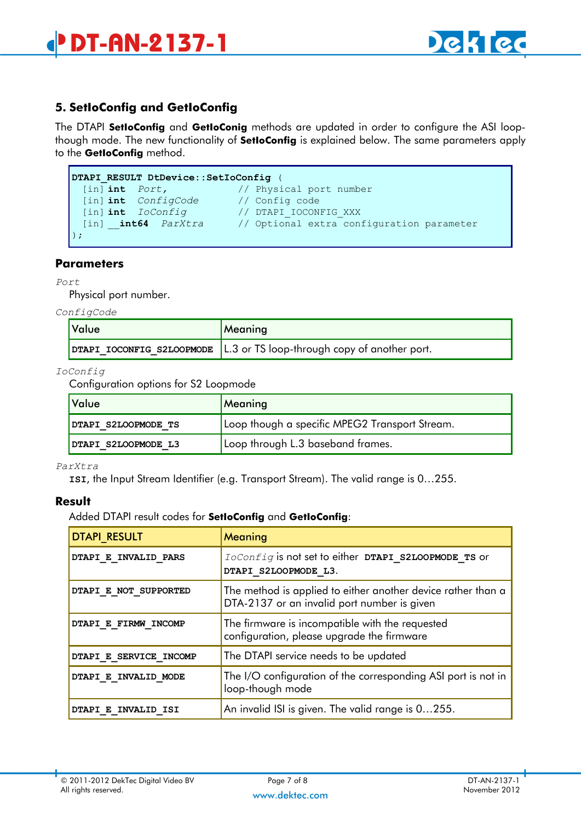# **5. SetIoConfig and GetIoConfig**

The DTAPI **SetIoConfig** and **GetIoConig** methods are updated in order to configure the ASI loopthough mode. The new functionality of **SetIoConfig** is explained below. The same parameters apply to the **GetIoConfig** method.

```
DTAPI_RESULT DtDevice::SetIoConfig (
 [in] int Port, // Physical port number 
 [in] int ConfigCode // Config code
 [in] int IoConfig // DTAPI_IOCONFIG_XXX
 [in] __int64 ParXtra // Optional extra configuration parameter
);
```
#### **Parameters**

*Port*

Physical port number.

*ConfigCode*

| Value | Meaning                                                                  |  |  |
|-------|--------------------------------------------------------------------------|--|--|
|       | DTAPI IOCONFIG S2LOOPMODE   L.3 or TS loop-through copy of another port. |  |  |

*IoConfig*

Configuration options for S2 Loopmode

| Value               | Meaning                                        |
|---------------------|------------------------------------------------|
| DTAPI S2LOOPMODE TS | Loop though a specific MPEG2 Transport Stream. |
| DTAPI S2LOOPMODE L3 | Loop through L.3 baseband frames.              |

*ParXtra*

**ISI**, the Input Stream Identifier (e.g. Transport Stream). The valid range is 0…255.

#### **Result**

Added DTAPI result codes for **SetIoConfig** and **GetIoConfig**:

| <b>DTAPI RESULT</b>        | Meaning                                                                                                     |
|----------------------------|-------------------------------------------------------------------------------------------------------------|
| DTAPI E INVALID PARS       | IoConfig is not set to either DTAPI S2LOOPMODE TS or<br>DTAPI S2LOOPMODE L3.                                |
| DTAPI E NOT SUPPORTED      | The method is applied to either another device rather than a<br>DTA-2137 or an invalid port number is given |
| DTAPI E FIRMW INCOMP       | The firmware is incompatible with the requested<br>configuration, please upgrade the firmware               |
| DTAPI E SERVICE INCOMP     | The DTAPI service needs to be updated                                                                       |
| DTAPI E INVALID MODE       | The I/O configuration of the corresponding ASI port is not in<br>loop-though mode                           |
| <b>DTAPI E INVALID ISI</b> | An invalid ISI is given. The valid range is 0255.                                                           |